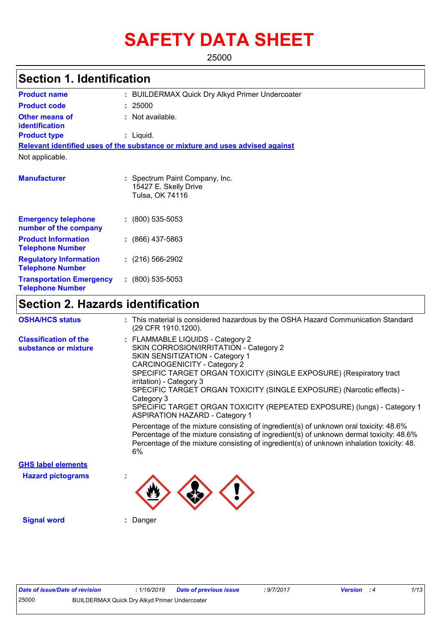# **SAFETY DATA SHEET**

25000

### **Section 1. Identification**

| <b>Product name</b>                                      | : BUILDERMAX Quick Dry Alkyd Primer Undercoater                               |
|----------------------------------------------------------|-------------------------------------------------------------------------------|
| <b>Product code</b>                                      | : 25000                                                                       |
| <b>Other means of</b><br>identification                  | $:$ Not available.                                                            |
| <b>Product type</b>                                      | : Liquid.                                                                     |
|                                                          | Relevant identified uses of the substance or mixture and uses advised against |
| Not applicable.                                          |                                                                               |
| <b>Manufacturer</b>                                      | : Spectrum Paint Company, Inc.<br>15427 E. Skelly Drive<br>Tulsa, OK 74116    |
| <b>Emergency telephone</b><br>number of the company      | $: (800) 535 - 5053$                                                          |
| <b>Product Information</b><br><b>Telephone Number</b>    | $: (866)$ 437-5863                                                            |
| <b>Regulatory Information</b><br><b>Telephone Number</b> | $: (216) 566-2902$                                                            |

### **Section 2. Hazards identification**

**:** (800) 535-5053

**Transportation Emergency Telephone Number**

| <b>OSHA/HCS status</b>                               | : This material is considered hazardous by the OSHA Hazard Communication Standard<br>(29 CFR 1910.1200).                                                                                                                                                                                                                                                                                                                                                    |
|------------------------------------------------------|-------------------------------------------------------------------------------------------------------------------------------------------------------------------------------------------------------------------------------------------------------------------------------------------------------------------------------------------------------------------------------------------------------------------------------------------------------------|
| <b>Classification of the</b><br>substance or mixture | : FLAMMABLE LIQUIDS - Category 2<br>SKIN CORROSION/IRRITATION - Category 2<br>SKIN SENSITIZATION - Category 1<br>CARCINOGENICITY - Category 2<br>SPECIFIC TARGET ORGAN TOXICITY (SINGLE EXPOSURE) (Respiratory tract<br>irritation) - Category 3<br>SPECIFIC TARGET ORGAN TOXICITY (SINGLE EXPOSURE) (Narcotic effects) -<br>Category 3<br>SPECIFIC TARGET ORGAN TOXICITY (REPEATED EXPOSURE) (lungs) - Category 1<br><b>ASPIRATION HAZARD - Category 1</b> |
|                                                      | Percentage of the mixture consisting of ingredient(s) of unknown oral toxicity: 48.6%<br>Percentage of the mixture consisting of ingredient(s) of unknown dermal toxicity: 48.6%<br>Percentage of the mixture consisting of ingredient(s) of unknown inhalation toxicity: 48.<br>6%                                                                                                                                                                         |
| <b>GHS label elements</b>                            |                                                                                                                                                                                                                                                                                                                                                                                                                                                             |
| <b>Hazard pictograms</b>                             |                                                                                                                                                                                                                                                                                                                                                                                                                                                             |
| <b>Signal word</b>                                   | Danger                                                                                                                                                                                                                                                                                                                                                                                                                                                      |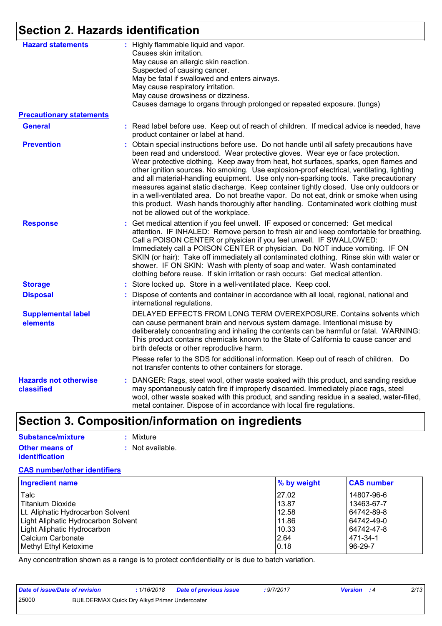## **Section 2. Hazards identification**

| <b>Hazard statements</b>                   | : Highly flammable liquid and vapor.<br>Causes skin irritation.<br>May cause an allergic skin reaction.<br>Suspected of causing cancer.<br>May be fatal if swallowed and enters airways.<br>May cause respiratory irritation.<br>May cause drowsiness or dizziness.<br>Causes damage to organs through prolonged or repeated exposure. (lungs)                                                                                                                                                                                                                                                                                                                                                                                                                              |
|--------------------------------------------|-----------------------------------------------------------------------------------------------------------------------------------------------------------------------------------------------------------------------------------------------------------------------------------------------------------------------------------------------------------------------------------------------------------------------------------------------------------------------------------------------------------------------------------------------------------------------------------------------------------------------------------------------------------------------------------------------------------------------------------------------------------------------------|
| <b>Precautionary statements</b>            |                                                                                                                                                                                                                                                                                                                                                                                                                                                                                                                                                                                                                                                                                                                                                                             |
| <b>General</b>                             | : Read label before use. Keep out of reach of children. If medical advice is needed, have<br>product container or label at hand.                                                                                                                                                                                                                                                                                                                                                                                                                                                                                                                                                                                                                                            |
| <b>Prevention</b>                          | : Obtain special instructions before use. Do not handle until all safety precautions have<br>been read and understood. Wear protective gloves. Wear eye or face protection.<br>Wear protective clothing. Keep away from heat, hot surfaces, sparks, open flames and<br>other ignition sources. No smoking. Use explosion-proof electrical, ventilating, lighting<br>and all material-handling equipment. Use only non-sparking tools. Take precautionary<br>measures against static discharge. Keep container tightly closed. Use only outdoors or<br>in a well-ventilated area. Do not breathe vapor. Do not eat, drink or smoke when using<br>this product. Wash hands thoroughly after handling. Contaminated work clothing must<br>not be allowed out of the workplace. |
| <b>Response</b>                            | : Get medical attention if you feel unwell. IF exposed or concerned: Get medical<br>attention. IF INHALED: Remove person to fresh air and keep comfortable for breathing.<br>Call a POISON CENTER or physician if you feel unwell. IF SWALLOWED:<br>Immediately call a POISON CENTER or physician. Do NOT induce vomiting. IF ON<br>SKIN (or hair): Take off immediately all contaminated clothing. Rinse skin with water or<br>shower. IF ON SKIN: Wash with plenty of soap and water. Wash contaminated<br>clothing before reuse. If skin irritation or rash occurs: Get medical attention.                                                                                                                                                                               |
| <b>Storage</b>                             | : Store locked up. Store in a well-ventilated place. Keep cool.                                                                                                                                                                                                                                                                                                                                                                                                                                                                                                                                                                                                                                                                                                             |
| <b>Disposal</b>                            | : Dispose of contents and container in accordance with all local, regional, national and<br>international regulations.                                                                                                                                                                                                                                                                                                                                                                                                                                                                                                                                                                                                                                                      |
| <b>Supplemental label</b><br>elements      | DELAYED EFFECTS FROM LONG TERM OVEREXPOSURE. Contains solvents which<br>can cause permanent brain and nervous system damage. Intentional misuse by<br>deliberately concentrating and inhaling the contents can be harmful or fatal. WARNING:<br>This product contains chemicals known to the State of California to cause cancer and<br>birth defects or other reproductive harm.                                                                                                                                                                                                                                                                                                                                                                                           |
|                                            | Please refer to the SDS for additional information. Keep out of reach of children. Do<br>not transfer contents to other containers for storage.                                                                                                                                                                                                                                                                                                                                                                                                                                                                                                                                                                                                                             |
| <b>Hazards not otherwise</b><br>classified | : DANGER: Rags, steel wool, other waste soaked with this product, and sanding residue<br>may spontaneously catch fire if improperly discarded. Immediately place rags, steel<br>wool, other waste soaked with this product, and sanding residue in a sealed, water-filled,<br>metal container. Dispose of in accordance with local fire regulations.                                                                                                                                                                                                                                                                                                                                                                                                                        |

## **Section 3. Composition/information on ingredients**

| Substance/mixture     | : Mixture        |
|-----------------------|------------------|
| <b>Other means of</b> | : Not available. |
| <i>identification</i> |                  |

#### **CAS number/other identifiers**

| <b>Ingredient name</b>              | % by weight | <b>CAS number</b> |
|-------------------------------------|-------------|-------------------|
| Talc                                | 27.02       | 14807-96-6        |
| Titanium Dioxide                    | 13.87       | 13463-67-7        |
| Lt. Aliphatic Hydrocarbon Solvent   | 12.58       | 64742-89-8        |
| Light Aliphatic Hydrocarbon Solvent | 11.86       | 64742-49-0        |
| Light Aliphatic Hydrocarbon         | 10.33       | 64742-47-8        |
| Calcium Carbonate                   | 2.64        | 471-34-1          |
| Methyl Ethyl Ketoxime               | 0.18        | 96-29-7           |

Any concentration shown as a range is to protect confidentiality or is due to batch variation.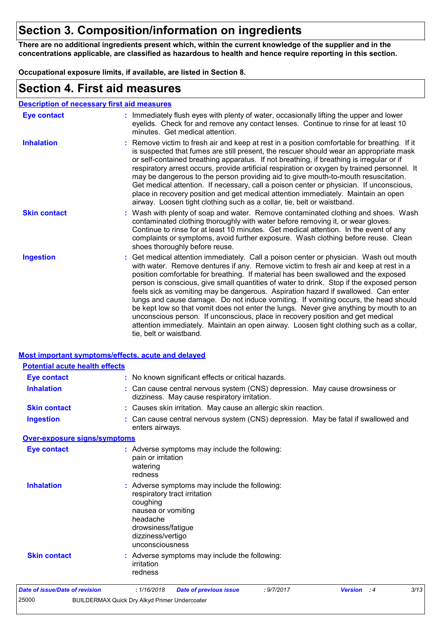## **Section 3. Composition/information on ingredients**

**There are no additional ingredients present which, within the current knowledge of the supplier and in the concentrations applicable, are classified as hazardous to health and hence require reporting in this section.**

**Occupational exposure limits, if available, are listed in Section 8.**

### **Section 4. First aid measures**

| <b>Description of necessary first aid measures</b> |                                                                                                                                                                                                                                                                                                                                                                                                                                                                                                                                                                                                                                                                                                                                                                                                                                                 |
|----------------------------------------------------|-------------------------------------------------------------------------------------------------------------------------------------------------------------------------------------------------------------------------------------------------------------------------------------------------------------------------------------------------------------------------------------------------------------------------------------------------------------------------------------------------------------------------------------------------------------------------------------------------------------------------------------------------------------------------------------------------------------------------------------------------------------------------------------------------------------------------------------------------|
| <b>Eye contact</b>                                 | : Immediately flush eyes with plenty of water, occasionally lifting the upper and lower<br>eyelids. Check for and remove any contact lenses. Continue to rinse for at least 10<br>minutes. Get medical attention.                                                                                                                                                                                                                                                                                                                                                                                                                                                                                                                                                                                                                               |
| <b>Inhalation</b>                                  | : Remove victim to fresh air and keep at rest in a position comfortable for breathing. If it<br>is suspected that fumes are still present, the rescuer should wear an appropriate mask<br>or self-contained breathing apparatus. If not breathing, if breathing is irregular or if<br>respiratory arrest occurs, provide artificial respiration or oxygen by trained personnel. It<br>may be dangerous to the person providing aid to give mouth-to-mouth resuscitation.<br>Get medical attention. If necessary, call a poison center or physician. If unconscious,<br>place in recovery position and get medical attention immediately. Maintain an open<br>airway. Loosen tight clothing such as a collar, tie, belt or waistband.                                                                                                            |
| <b>Skin contact</b>                                | : Wash with plenty of soap and water. Remove contaminated clothing and shoes. Wash<br>contaminated clothing thoroughly with water before removing it, or wear gloves.<br>Continue to rinse for at least 10 minutes. Get medical attention. In the event of any<br>complaints or symptoms, avoid further exposure. Wash clothing before reuse. Clean<br>shoes thoroughly before reuse.                                                                                                                                                                                                                                                                                                                                                                                                                                                           |
| <b>Ingestion</b>                                   | : Get medical attention immediately. Call a poison center or physician. Wash out mouth<br>with water. Remove dentures if any. Remove victim to fresh air and keep at rest in a<br>position comfortable for breathing. If material has been swallowed and the exposed<br>person is conscious, give small quantities of water to drink. Stop if the exposed person<br>feels sick as vomiting may be dangerous. Aspiration hazard if swallowed. Can enter<br>lungs and cause damage. Do not induce vomiting. If vomiting occurs, the head should<br>be kept low so that vomit does not enter the lungs. Never give anything by mouth to an<br>unconscious person. If unconscious, place in recovery position and get medical<br>attention immediately. Maintain an open airway. Loosen tight clothing such as a collar,<br>tie, belt or waistband. |

| Most important symptoms/effects, acute and delayed |                                                                                                                                                                                           |
|----------------------------------------------------|-------------------------------------------------------------------------------------------------------------------------------------------------------------------------------------------|
| <b>Potential acute health effects</b>              |                                                                                                                                                                                           |
| <b>Eye contact</b>                                 | : No known significant effects or critical hazards.                                                                                                                                       |
| <b>Inhalation</b>                                  | : Can cause central nervous system (CNS) depression. May cause drowsiness or<br>dizziness. May cause respiratory irritation.                                                              |
| <b>Skin contact</b>                                | : Causes skin irritation. May cause an allergic skin reaction.                                                                                                                            |
| <b>Ingestion</b>                                   | : Can cause central nervous system (CNS) depression. May be fatal if swallowed and<br>enters airways.                                                                                     |
| <b>Over-exposure signs/symptoms</b>                |                                                                                                                                                                                           |
| <b>Eye contact</b>                                 | : Adverse symptoms may include the following:<br>pain or irritation<br>watering<br>redness                                                                                                |
| <b>Inhalation</b>                                  | : Adverse symptoms may include the following:<br>respiratory tract irritation<br>coughing<br>nausea or vomiting<br>headache<br>drowsiness/fatigue<br>dizziness/vertigo<br>unconsciousness |
| <b>Skin contact</b>                                | : Adverse symptoms may include the following:<br>irritation<br>redness                                                                                                                    |
| <b>Date of issue/Date of revision</b>              | 3/13<br>: 1/16/2018<br><b>Date of previous issue</b><br>: 9/7/2017<br><b>Version</b> : 4                                                                                                  |
| 25000                                              | <b>BUILDERMAX Quick Dry Alkyd Primer Undercoater</b>                                                                                                                                      |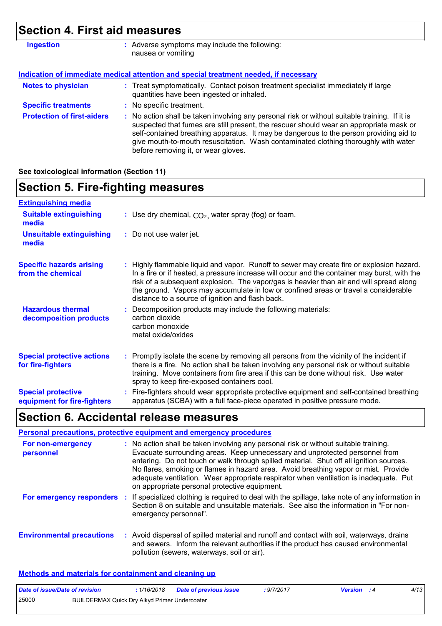## **Section 4. First aid measures**

| <b>Ingestion</b>                  | : Adverse symptoms may include the following:<br>nausea or vomiting                                                                                                                                                                                                                                                                                                                                             |
|-----------------------------------|-----------------------------------------------------------------------------------------------------------------------------------------------------------------------------------------------------------------------------------------------------------------------------------------------------------------------------------------------------------------------------------------------------------------|
|                                   | Indication of immediate medical attention and special treatment needed, if necessary                                                                                                                                                                                                                                                                                                                            |
| <b>Notes to physician</b>         | : Treat symptomatically. Contact poison treatment specialist immediately if large<br>quantities have been ingested or inhaled.                                                                                                                                                                                                                                                                                  |
| <b>Specific treatments</b>        | : No specific treatment.                                                                                                                                                                                                                                                                                                                                                                                        |
| <b>Protection of first-aiders</b> | : No action shall be taken involving any personal risk or without suitable training. If it is<br>suspected that fumes are still present, the rescuer should wear an appropriate mask or<br>self-contained breathing apparatus. It may be dangerous to the person providing aid to<br>give mouth-to-mouth resuscitation. Wash contaminated clothing thoroughly with water<br>before removing it, or wear gloves. |

**See toxicological information (Section 11)**

### **Section 5. Fire-fighting measures**

| <b>Extinguishing media</b>                               |                                                                                                                                                                                                                                                                                                                                                                                                                                 |
|----------------------------------------------------------|---------------------------------------------------------------------------------------------------------------------------------------------------------------------------------------------------------------------------------------------------------------------------------------------------------------------------------------------------------------------------------------------------------------------------------|
| <b>Suitable extinguishing</b><br>media                   | : Use dry chemical, $CO2$ , water spray (fog) or foam.                                                                                                                                                                                                                                                                                                                                                                          |
| <b>Unsuitable extinguishing</b><br>media                 | : Do not use water jet.                                                                                                                                                                                                                                                                                                                                                                                                         |
| <b>Specific hazards arising</b><br>from the chemical     | : Highly flammable liquid and vapor. Runoff to sewer may create fire or explosion hazard.<br>In a fire or if heated, a pressure increase will occur and the container may burst, with the<br>risk of a subsequent explosion. The vapor/gas is heavier than air and will spread along<br>the ground. Vapors may accumulate in low or confined areas or travel a considerable<br>distance to a source of ignition and flash back. |
| <b>Hazardous thermal</b><br>decomposition products       | : Decomposition products may include the following materials:<br>carbon dioxide<br>carbon monoxide<br>metal oxide/oxides                                                                                                                                                                                                                                                                                                        |
| <b>Special protective actions</b><br>for fire-fighters   | : Promptly isolate the scene by removing all persons from the vicinity of the incident if<br>there is a fire. No action shall be taken involving any personal risk or without suitable<br>training. Move containers from fire area if this can be done without risk. Use water<br>spray to keep fire-exposed containers cool.                                                                                                   |
| <b>Special protective</b><br>equipment for fire-fighters | : Fire-fighters should wear appropriate protective equipment and self-contained breathing<br>apparatus (SCBA) with a full face-piece operated in positive pressure mode.                                                                                                                                                                                                                                                        |

## **Section 6. Accidental release measures**

|                                  | <b>Personal precautions, protective equipment and emergency procedures</b>                                                                                                                                                                                                                                                                                                                                                                                                                      |
|----------------------------------|-------------------------------------------------------------------------------------------------------------------------------------------------------------------------------------------------------------------------------------------------------------------------------------------------------------------------------------------------------------------------------------------------------------------------------------------------------------------------------------------------|
| For non-emergency<br>personnel   | : No action shall be taken involving any personal risk or without suitable training.<br>Evacuate surrounding areas. Keep unnecessary and unprotected personnel from<br>entering. Do not touch or walk through spilled material. Shut off all ignition sources.<br>No flares, smoking or flames in hazard area. Avoid breathing vapor or mist. Provide<br>adequate ventilation. Wear appropriate respirator when ventilation is inadequate. Put<br>on appropriate personal protective equipment. |
| For emergency responders :       | If specialized clothing is required to deal with the spillage, take note of any information in<br>Section 8 on suitable and unsuitable materials. See also the information in "For non-<br>emergency personnel".                                                                                                                                                                                                                                                                                |
| <b>Environmental precautions</b> | : Avoid dispersal of spilled material and runoff and contact with soil, waterways, drains<br>and sewers. Inform the relevant authorities if the product has caused environmental<br>pollution (sewers, waterways, soil or air).                                                                                                                                                                                                                                                                 |

#### **Methods and materials for containment and cleaning up**

| Date of issue/Date of revision |                                               | 1/16/2018 | <b>Date of previous issue</b> | : 9/7/2017 | <b>Version</b> : 4 | 4/13 |
|--------------------------------|-----------------------------------------------|-----------|-------------------------------|------------|--------------------|------|
| 25000                          | BUILDERMAX Quick Dry Alkyd Primer Undercoater |           |                               |            |                    |      |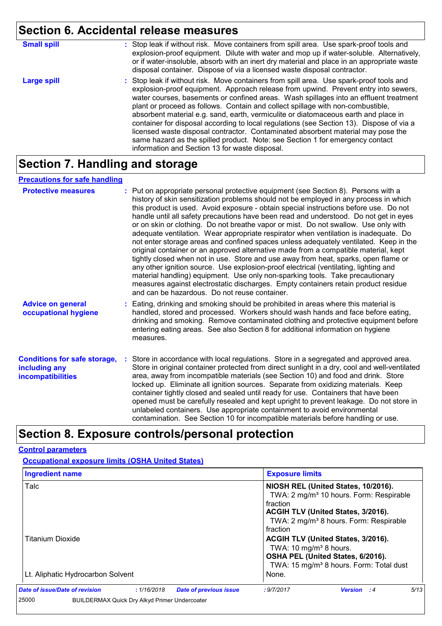## **Section 6. Accidental release measures**

| <b>Small spill</b> | : Stop leak if without risk. Move containers from spill area. Use spark-proof tools and<br>explosion-proof equipment. Dilute with water and mop up if water-soluble. Alternatively,<br>or if water-insoluble, absorb with an inert dry material and place in an appropriate waste<br>disposal container. Dispose of via a licensed waste disposal contractor.                                                                                                                                                                                                                                                                                                                                                                                                        |
|--------------------|----------------------------------------------------------------------------------------------------------------------------------------------------------------------------------------------------------------------------------------------------------------------------------------------------------------------------------------------------------------------------------------------------------------------------------------------------------------------------------------------------------------------------------------------------------------------------------------------------------------------------------------------------------------------------------------------------------------------------------------------------------------------|
| <b>Large spill</b> | : Stop leak if without risk. Move containers from spill area. Use spark-proof tools and<br>explosion-proof equipment. Approach release from upwind. Prevent entry into sewers,<br>water courses, basements or confined areas. Wash spillages into an effluent treatment<br>plant or proceed as follows. Contain and collect spillage with non-combustible,<br>absorbent material e.g. sand, earth, vermiculite or diatomaceous earth and place in<br>container for disposal according to local regulations (see Section 13). Dispose of via a<br>licensed waste disposal contractor. Contaminated absorbent material may pose the<br>same hazard as the spilled product. Note: see Section 1 for emergency contact<br>information and Section 13 for waste disposal. |

## **Section 7. Handling and storage**

#### **Precautions for safe handling**

| <b>Protective measures</b>                                                | : Put on appropriate personal protective equipment (see Section 8). Persons with a<br>history of skin sensitization problems should not be employed in any process in which<br>this product is used. Avoid exposure - obtain special instructions before use. Do not<br>handle until all safety precautions have been read and understood. Do not get in eyes<br>or on skin or clothing. Do not breathe vapor or mist. Do not swallow. Use only with<br>adequate ventilation. Wear appropriate respirator when ventilation is inadequate. Do<br>not enter storage areas and confined spaces unless adequately ventilated. Keep in the<br>original container or an approved alternative made from a compatible material, kept<br>tightly closed when not in use. Store and use away from heat, sparks, open flame or<br>any other ignition source. Use explosion-proof electrical (ventilating, lighting and<br>material handling) equipment. Use only non-sparking tools. Take precautionary<br>measures against electrostatic discharges. Empty containers retain product residue<br>and can be hazardous. Do not reuse container. |  |
|---------------------------------------------------------------------------|-------------------------------------------------------------------------------------------------------------------------------------------------------------------------------------------------------------------------------------------------------------------------------------------------------------------------------------------------------------------------------------------------------------------------------------------------------------------------------------------------------------------------------------------------------------------------------------------------------------------------------------------------------------------------------------------------------------------------------------------------------------------------------------------------------------------------------------------------------------------------------------------------------------------------------------------------------------------------------------------------------------------------------------------------------------------------------------------------------------------------------------|--|
| <b>Advice on general</b><br>occupational hygiene                          | Eating, drinking and smoking should be prohibited in areas where this material is<br>handled, stored and processed. Workers should wash hands and face before eating,<br>drinking and smoking. Remove contaminated clothing and protective equipment before<br>entering eating areas. See also Section 8 for additional information on hygiene<br>measures.                                                                                                                                                                                                                                                                                                                                                                                                                                                                                                                                                                                                                                                                                                                                                                         |  |
| <b>Conditions for safe storage,</b><br>including any<br>incompatibilities | Store in accordance with local regulations. Store in a segregated and approved area.<br>Store in original container protected from direct sunlight in a dry, cool and well-ventilated<br>area, away from incompatible materials (see Section 10) and food and drink. Store<br>locked up. Eliminate all ignition sources. Separate from oxidizing materials. Keep<br>container tightly closed and sealed until ready for use. Containers that have been<br>opened must be carefully resealed and kept upright to prevent leakage. Do not store in<br>unlabeled containers. Use appropriate containment to avoid environmental<br>contamination. See Section 10 for incompatible materials before handling or use.                                                                                                                                                                                                                                                                                                                                                                                                                    |  |

## **Section 8. Exposure controls/personal protection**

#### **Control parameters**

**Occupational exposure limits (OSHA United States)**

| <b>Ingredient name</b>                                                                | <b>Exposure limits</b>                                                                                                                                                                             |  |  |  |
|---------------------------------------------------------------------------------------|----------------------------------------------------------------------------------------------------------------------------------------------------------------------------------------------------|--|--|--|
| Talc                                                                                  | NIOSH REL (United States, 10/2016).<br>TWA: 2 mg/m <sup>3</sup> 10 hours. Form: Respirable<br>fraction<br>ACGIH TLV (United States, 3/2016).<br>TWA: 2 mg/m <sup>3</sup> 8 hours. Form: Respirable |  |  |  |
| <b>Titanium Dioxide</b>                                                               | fraction<br>ACGIH TLV (United States, 3/2016).<br>TWA: 10 mg/m <sup>3</sup> 8 hours.<br>OSHA PEL (United States, 6/2016).<br>TWA: 15 mg/m <sup>3</sup> 8 hours. Form: Total dust                   |  |  |  |
| Lt. Aliphatic Hydrocarbon Solvent                                                     | None.                                                                                                                                                                                              |  |  |  |
| <b>Date of issue/Date of revision</b><br>: 1/16/2018<br><b>Date of previous issue</b> | 5/13<br>: 9/7/2017<br><b>Version</b> :4                                                                                                                                                            |  |  |  |
| 25000<br><b>BUILDERMAX Quick Dry Alkyd Primer Undercoater</b>                         |                                                                                                                                                                                                    |  |  |  |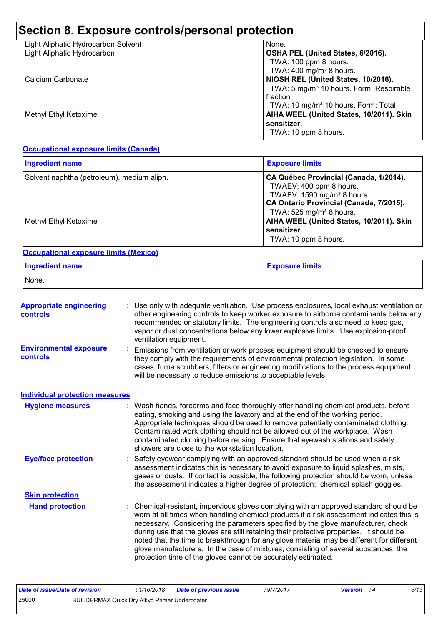## **Section 8. Exposure controls/personal protection**

| Light Aliphatic Hydrocarbon Solvent | None.                                               |
|-------------------------------------|-----------------------------------------------------|
| Light Aliphatic Hydrocarbon         | OSHA PEL (United States, 6/2016).                   |
|                                     | TWA: 100 ppm 8 hours.                               |
|                                     | TWA: $400 \text{ mg/m}^3$ 8 hours.                  |
| l Calcium Carbonate                 | NIOSH REL (United States, 10/2016).                 |
|                                     | TWA: 5 mg/m <sup>3</sup> 10 hours. Form: Respirable |
|                                     | fraction                                            |
|                                     | TWA: 10 mg/m <sup>3</sup> 10 hours. Form: Total     |
| Methyl Ethyl Ketoxime               | AIHA WEEL (United States, 10/2011). Skin            |
|                                     | sensitizer.                                         |
|                                     | TWA: 10 ppm 8 hours.                                |

#### **Occupational exposure limits (Canada)**

| <b>Ingredient name</b>                     | <b>Exposure limits</b>                                                                                                                                                                        |
|--------------------------------------------|-----------------------------------------------------------------------------------------------------------------------------------------------------------------------------------------------|
| Solvent naphtha (petroleum), medium aliph. | CA Québec Provincial (Canada, 1/2014).<br>TWAEV: 400 ppm 8 hours.<br>TWAEV: 1590 mg/m <sup>3</sup> 8 hours.<br>CA Ontario Provincial (Canada, 7/2015).<br>TWA: 525 mg/m <sup>3</sup> 8 hours. |
| Methyl Ethyl Ketoxime                      | AIHA WEEL (United States, 10/2011). Skin<br>sensitizer.<br>TWA: 10 ppm 8 hours.                                                                                                               |

#### **Occupational exposure limits (Mexico)**

| <b>Ingredient name</b> | <b>Exposure limits</b> |
|------------------------|------------------------|
| None.                  |                        |

| <b>Appropriate engineering</b><br><b>controls</b> |    | : Use only with adequate ventilation. Use process enclosures, local exhaust ventilation or<br>other engineering controls to keep worker exposure to airborne contaminants below any<br>recommended or statutory limits. The engineering controls also need to keep gas,<br>vapor or dust concentrations below any lower explosive limits. Use explosion-proof<br>ventilation equipment.                                                                                                                                                                                                                                |
|---------------------------------------------------|----|------------------------------------------------------------------------------------------------------------------------------------------------------------------------------------------------------------------------------------------------------------------------------------------------------------------------------------------------------------------------------------------------------------------------------------------------------------------------------------------------------------------------------------------------------------------------------------------------------------------------|
| <b>Environmental exposure</b><br><b>controls</b>  | ÷, | Emissions from ventilation or work process equipment should be checked to ensure<br>they comply with the requirements of environmental protection legislation. In some<br>cases, fume scrubbers, filters or engineering modifications to the process equipment<br>will be necessary to reduce emissions to acceptable levels.                                                                                                                                                                                                                                                                                          |
| <b>Individual protection measures</b>             |    |                                                                                                                                                                                                                                                                                                                                                                                                                                                                                                                                                                                                                        |
| <b>Hygiene measures</b>                           |    | : Wash hands, forearms and face thoroughly after handling chemical products, before<br>eating, smoking and using the lavatory and at the end of the working period.<br>Appropriate techniques should be used to remove potentially contaminated clothing.<br>Contaminated work clothing should not be allowed out of the workplace. Wash<br>contaminated clothing before reusing. Ensure that eyewash stations and safety<br>showers are close to the workstation location.                                                                                                                                            |
| <b>Eye/face protection</b>                        |    | : Safety eyewear complying with an approved standard should be used when a risk<br>assessment indicates this is necessary to avoid exposure to liquid splashes, mists,<br>gases or dusts. If contact is possible, the following protection should be worn, unless<br>the assessment indicates a higher degree of protection: chemical splash goggles.                                                                                                                                                                                                                                                                  |
| <b>Skin protection</b>                            |    |                                                                                                                                                                                                                                                                                                                                                                                                                                                                                                                                                                                                                        |
| <b>Hand protection</b>                            |    | : Chemical-resistant, impervious gloves complying with an approved standard should be<br>worn at all times when handling chemical products if a risk assessment indicates this is<br>necessary. Considering the parameters specified by the glove manufacturer, check<br>during use that the gloves are still retaining their protective properties. It should be<br>noted that the time to breakthrough for any glove material may be different for different<br>glove manufacturers. In the case of mixtures, consisting of several substances, the<br>protection time of the gloves cannot be accurately estimated. |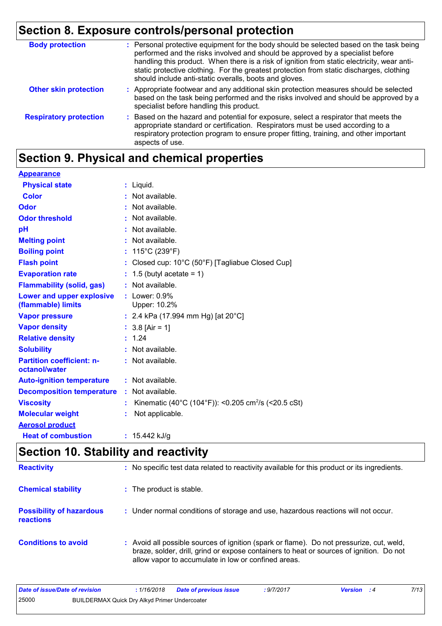## **Section 8. Exposure controls/personal protection**

| <b>Body protection</b>        | : Personal protective equipment for the body should be selected based on the task being<br>performed and the risks involved and should be approved by a specialist before<br>handling this product. When there is a risk of ignition from static electricity, wear anti-<br>static protective clothing. For the greatest protection from static discharges, clothing<br>should include anti-static overalls, boots and gloves. |
|-------------------------------|--------------------------------------------------------------------------------------------------------------------------------------------------------------------------------------------------------------------------------------------------------------------------------------------------------------------------------------------------------------------------------------------------------------------------------|
| <b>Other skin protection</b>  | : Appropriate footwear and any additional skin protection measures should be selected<br>based on the task being performed and the risks involved and should be approved by a<br>specialist before handling this product.                                                                                                                                                                                                      |
| <b>Respiratory protection</b> | Based on the hazard and potential for exposure, select a respirator that meets the<br>appropriate standard or certification. Respirators must be used according to a<br>respiratory protection program to ensure proper fitting, training, and other important<br>aspects of use.                                                                                                                                              |

## **Section 9. Physical and chemical properties**

| <b>Appearance</b>                                 |    |                                                                 |
|---------------------------------------------------|----|-----------------------------------------------------------------|
| <b>Physical state</b>                             |    | $:$ Liquid.                                                     |
| <b>Color</b>                                      |    | $:$ Not available.                                              |
| Odor                                              |    | : Not available.                                                |
| <b>Odor threshold</b>                             |    | : Not available.                                                |
| pH                                                |    | : Not available.                                                |
| <b>Melting point</b>                              |    | : Not available.                                                |
| <b>Boiling point</b>                              |    | : $115^{\circ}$ C (239 $^{\circ}$ F)                            |
| <b>Flash point</b>                                |    | : Closed cup: 10°C (50°F) [Tagliabue Closed Cup]                |
| <b>Evaporation rate</b>                           |    | $: 1.5$ (butyl acetate = 1)                                     |
| <b>Flammability (solid, gas)</b>                  | ÷. | Not available.                                                  |
| Lower and upper explosive<br>(flammable) limits   |    | : Lower: $0.9%$<br>Upper: 10.2%                                 |
| <b>Vapor pressure</b>                             |    | : 2.4 kPa (17.994 mm Hg) [at $20^{\circ}$ C]                    |
| <b>Vapor density</b>                              |    | : $3.8$ [Air = 1]                                               |
| <b>Relative density</b>                           |    | : 1.24                                                          |
| <b>Solubility</b>                                 |    | : Not available.                                                |
| <b>Partition coefficient: n-</b><br>octanol/water |    | : Not available.                                                |
| <b>Auto-ignition temperature</b>                  |    | $:$ Not available.                                              |
| <b>Decomposition temperature</b>                  |    | $:$ Not available.                                              |
| <b>Viscosity</b>                                  | t. | Kinematic (40°C (104°F)): <0.205 cm <sup>2</sup> /s (<20.5 cSt) |
| <b>Molecular weight</b>                           |    | Not applicable.                                                 |
| <b>Aerosol product</b>                            |    |                                                                 |
| <b>Heat of combustion</b>                         |    | : $15.442$ kJ/g                                                 |

## **Section 10. Stability and reactivity**

| <b>Reactivity</b>                            | : No specific test data related to reactivity available for this product or its ingredients.                                                                                                                                               |
|----------------------------------------------|--------------------------------------------------------------------------------------------------------------------------------------------------------------------------------------------------------------------------------------------|
| <b>Chemical stability</b>                    | : The product is stable.                                                                                                                                                                                                                   |
| <b>Possibility of hazardous</b><br>reactions | : Under normal conditions of storage and use, hazardous reactions will not occur.                                                                                                                                                          |
| <b>Conditions to avoid</b>                   | : Avoid all possible sources of ignition (spark or flame). Do not pressurize, cut, weld,<br>braze, solder, drill, grind or expose containers to heat or sources of ignition. Do not<br>allow vapor to accumulate in low or confined areas. |

| Date of issue/Date of revision |                                                      | 1/16/2018 | <b>Date of previous issue</b> | : 9/7/2017 | <b>Version</b> : 4 | 7/13 |
|--------------------------------|------------------------------------------------------|-----------|-------------------------------|------------|--------------------|------|
| 25000                          | <b>BUILDERMAX Quick Dry Alkyd Primer Undercoater</b> |           |                               |            |                    |      |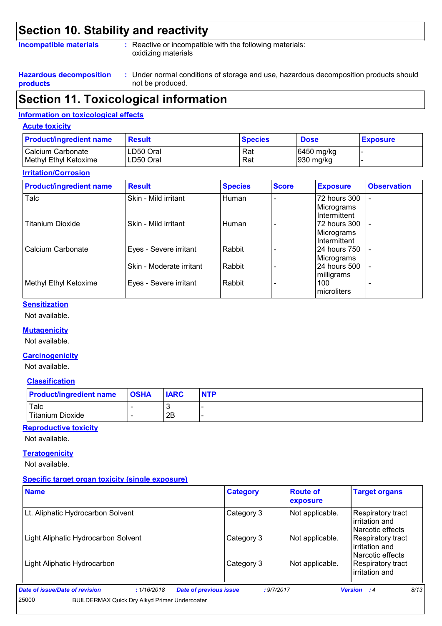## **Section 10. Stability and reactivity**

**Incompatible materials :**

Reactive or incompatible with the following materials: oxidizing materials

**Hazardous decomposition products** Under normal conditions of storage and use, hazardous decomposition products should **:** not be produced.

## **Section 11. Toxicological information**

#### **Information on toxicological effects**

**Acute toxicity**

| <b>Product/ingredient name</b> | <b>Result</b> | <b>Species</b> | <b>Dose</b>           | <b>Exposure</b> |
|--------------------------------|---------------|----------------|-----------------------|-----------------|
| Calcium Carbonate              | LD50 Oral     | Rat            | 6450 mg/kg            |                 |
| Methyl Ethyl Ketoxime          | ILD50 Oral    | Rat            | $ 930 \text{ mg/kg} $ |                 |

#### **Irritation/Corrosion**

| <b>Product/ingredient name</b> | <b>Result</b>            | <b>Species</b> | <b>Score</b> | <b>Exposure</b>                            | <b>Observation</b> |
|--------------------------------|--------------------------|----------------|--------------|--------------------------------------------|--------------------|
| Talc                           | Skin - Mild irritant     | Human          |              | 72 hours 300<br>Micrograms<br>Intermittent |                    |
| <b>Titanium Dioxide</b>        | Skin - Mild irritant     | Human          |              | 72 hours 300<br>Micrograms<br>Intermittent |                    |
| Calcium Carbonate              | Eyes - Severe irritant   | Rabbit         |              | 24 hours 750<br>Micrograms                 |                    |
|                                | Skin - Moderate irritant | Rabbit         |              | 24 hours 500<br>milligrams                 |                    |
| Methyl Ethyl Ketoxime          | Eyes - Severe irritant   | Rabbit         |              | 100<br>microliters                         |                    |

#### **Sensitization**

Not available.

#### **Mutagenicity**

Not available.

#### **Carcinogenicity**

Not available.

#### **Classification**

| <b>Product/ingredient name</b> | <b>OSHA</b> | <b>IARC</b> | <b>NTP</b> |
|--------------------------------|-------------|-------------|------------|
| Talc<br>Titanium Dioxide       |             | 2B          | -<br>-     |

#### **Reproductive toxicity**

Not available.

#### **Teratogenicity**

Not available.

#### **Specific target organ toxicity (single exposure)**

| <b>Name</b>                         |                                                      | <b>Category</b> | <b>Route of</b><br>exposure                               | <b>Target organs</b>                                      |
|-------------------------------------|------------------------------------------------------|-----------------|-----------------------------------------------------------|-----------------------------------------------------------|
| Lt. Aliphatic Hydrocarbon Solvent   |                                                      | Category 3      | Not applicable.                                           | Respiratory tract<br>irritation and<br>l Narcotic effects |
| Light Aliphatic Hydrocarbon Solvent | Category 3                                           | Not applicable. | Respiratory tract<br>irritation and<br>l Narcotic effects |                                                           |
| Light Aliphatic Hydrocarbon         |                                                      | Category 3      | Not applicable.                                           | Respiratory tract<br>irritation and                       |
| Date of issue/Date of revision      | <b>Date of previous issue</b><br>: 1/16/2018         |                 | : 9/7/2017                                                | 8/13<br><b>Version</b> : 4                                |
| 25000                               | <b>BUILDERMAX Quick Dry Alkyd Primer Undercoater</b> |                 |                                                           |                                                           |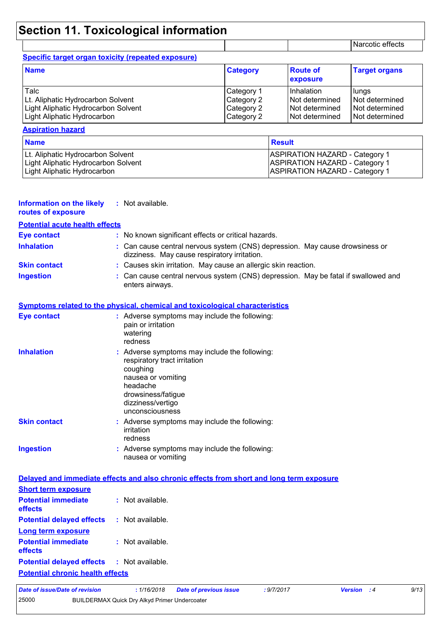## **Section 11. Toxicological information**

Narcotic effects

### **Specific target organ toxicity (repeated exposure)**

| <b>Name</b>                         | <b>Category</b> | <b>Route of</b><br><b>exposure</b> | <b>Target organs</b>  |
|-------------------------------------|-----------------|------------------------------------|-----------------------|
| Talc                                | Category 1      | <b>Inhalation</b>                  | <b>Ilungs</b>         |
| Lt. Aliphatic Hydrocarbon Solvent   | Category 2      | l Not determined                   | <b>Not determined</b> |
| Light Aliphatic Hydrocarbon Solvent | Category 2      | Not determined                     | Not determined        |
| Light Aliphatic Hydrocarbon         | Category 2      | Not determined                     | l Not determined      |

#### **Aspiration hazard**

| <b>Name</b>                         | <b>Result</b>                         |
|-------------------------------------|---------------------------------------|
| Lt. Aliphatic Hydrocarbon Solvent   | <b>ASPIRATION HAZARD - Category 1</b> |
| Light Aliphatic Hydrocarbon Solvent | <b>ASPIRATION HAZARD - Category 1</b> |
| Light Aliphatic Hydrocarbon         | <b>ASPIRATION HAZARD - Category 1</b> |

| Information on the likely<br>routes of exposure                                          | : Not available.                                                                                                                         |                                                                |            |                                                                                  |      |
|------------------------------------------------------------------------------------------|------------------------------------------------------------------------------------------------------------------------------------------|----------------------------------------------------------------|------------|----------------------------------------------------------------------------------|------|
| <b>Potential acute health effects</b>                                                    |                                                                                                                                          |                                                                |            |                                                                                  |      |
| <b>Eye contact</b>                                                                       |                                                                                                                                          | : No known significant effects or critical hazards.            |            |                                                                                  |      |
| <b>Inhalation</b>                                                                        |                                                                                                                                          | dizziness. May cause respiratory irritation.                   |            | : Can cause central nervous system (CNS) depression. May cause drowsiness or     |      |
| <b>Skin contact</b>                                                                      |                                                                                                                                          | : Causes skin irritation. May cause an allergic skin reaction. |            |                                                                                  |      |
| <b>Ingestion</b>                                                                         | enters airways.                                                                                                                          |                                                                |            | Can cause central nervous system (CNS) depression. May be fatal if swallowed and |      |
| <b>Symptoms related to the physical, chemical and toxicological characteristics</b>      |                                                                                                                                          |                                                                |            |                                                                                  |      |
| <b>Eye contact</b>                                                                       | pain or irritation<br>watering<br>redness                                                                                                | : Adverse symptoms may include the following:                  |            |                                                                                  |      |
| <b>Inhalation</b>                                                                        | respiratory tract irritation<br>coughing<br>nausea or vomiting<br>headache<br>drowsiness/fatigue<br>dizziness/vertigo<br>unconsciousness | : Adverse symptoms may include the following:                  |            |                                                                                  |      |
| <b>Skin contact</b>                                                                      | irritation<br>redness                                                                                                                    | : Adverse symptoms may include the following:                  |            |                                                                                  |      |
| <b>Ingestion</b>                                                                         | nausea or vomiting                                                                                                                       | : Adverse symptoms may include the following:                  |            |                                                                                  |      |
| Delayed and immediate effects and also chronic effects from short and long term exposure |                                                                                                                                          |                                                                |            |                                                                                  |      |
| <b>Short term exposure</b>                                                               |                                                                                                                                          |                                                                |            |                                                                                  |      |
| <b>Potential immediate</b><br>effects                                                    | : Not available.                                                                                                                         |                                                                |            |                                                                                  |      |
| <b>Potential delayed effects</b>                                                         | : Not available.                                                                                                                         |                                                                |            |                                                                                  |      |
| <b>Long term exposure</b>                                                                |                                                                                                                                          |                                                                |            |                                                                                  |      |
| <b>Potential immediate</b><br>effects                                                    | : Not available.                                                                                                                         |                                                                |            |                                                                                  |      |
| <b>Potential delayed effects</b>                                                         | : Not available.                                                                                                                         |                                                                |            |                                                                                  |      |
| <b>Potential chronic health effects</b>                                                  |                                                                                                                                          |                                                                |            |                                                                                  |      |
| <b>Date of issue/Date of revision</b>                                                    | : 1/16/2018                                                                                                                              | <b>Date of previous issue</b>                                  | : 9/7/2017 | Version : 4                                                                      | 9/13 |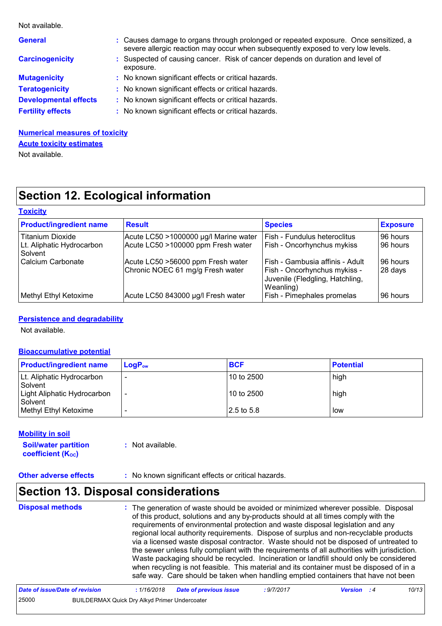Not available.

| <b>General</b>               | : Causes damage to organs through prolonged or repeated exposure. Once sensitized, a<br>severe allergic reaction may occur when subsequently exposed to very low levels. |
|------------------------------|--------------------------------------------------------------------------------------------------------------------------------------------------------------------------|
| <b>Carcinogenicity</b>       | : Suspected of causing cancer. Risk of cancer depends on duration and level of<br>exposure.                                                                              |
| <b>Mutagenicity</b>          | : No known significant effects or critical hazards.                                                                                                                      |
| <b>Teratogenicity</b>        | : No known significant effects or critical hazards.                                                                                                                      |
| <b>Developmental effects</b> | : No known significant effects or critical hazards.                                                                                                                      |
| <b>Fertility effects</b>     | : No known significant effects or critical hazards.                                                                                                                      |

**Numerical measures of toxicity** Not available. **Acute toxicity estimates**

## **Section 12. Ecological information**

| <b>Toxicity</b>                                                 |                                                                             |                                                                                                                 |                      |
|-----------------------------------------------------------------|-----------------------------------------------------------------------------|-----------------------------------------------------------------------------------------------------------------|----------------------|
| <b>Product/ingredient name</b>                                  | <b>Result</b>                                                               | <b>Species</b>                                                                                                  | <b>Exposure</b>      |
| <b>Titanium Dioxide</b><br>Lt. Aliphatic Hydrocarbon<br>Solvent | Acute LC50 >1000000 µg/l Marine water<br>Acute LC50 >100000 ppm Fresh water | Fish - Fundulus heteroclitus<br>Fish - Oncorhynchus mykiss                                                      | 96 hours<br>96 hours |
| Calcium Carbonate                                               | Acute LC50 >56000 ppm Fresh water<br>Chronic NOEC 61 mg/g Fresh water       | Fish - Gambusia affinis - Adult<br>Fish - Oncorhynchus mykiss -<br>Juvenile (Fledgling, Hatchling,<br>Weanling) | 96 hours<br>28 days  |
| Methyl Ethyl Ketoxime                                           | Acute LC50 843000 µg/l Fresh water                                          | Fish - Pimephales promelas                                                                                      | 96 hours             |

#### **Persistence and degradability**

Not available.

#### **Bioaccumulative potential**

| <b>Product/ingredient name</b>                | $LogP_{ow}$ | <b>BCF</b>  | <b>Potential</b> |
|-----------------------------------------------|-------------|-------------|------------------|
| Lt. Aliphatic Hydrocarbon<br>Solvent          |             | 10 to 2500  | high             |
| Light Aliphatic Hydrocarbon<br><b>Solvent</b> |             | 10 to 2500  | high             |
| Methyl Ethyl Ketoxime                         |             | 12.5 to 5.8 | low              |

#### **Mobility in soil**

**Soil/water partition coefficient (KOC)**

**:** Not available.

#### **Other adverse effects** : No known significant effects or critical hazards.

## **Section 13. Disposal considerations**

| <b>Disposal methods</b> | : The generation of waste should be avoided or minimized wherever possible. Disposal<br>of this product, solutions and any by-products should at all times comply with the<br>requirements of environmental protection and waste disposal legislation and any<br>regional local authority requirements. Dispose of surplus and non-recyclable products<br>via a licensed waste disposal contractor. Waste should not be disposed of untreated to<br>the sewer unless fully compliant with the requirements of all authorities with jurisdiction.<br>Waste packaging should be recycled. Incineration or landfill should only be considered<br>when recycling is not feasible. This material and its container must be disposed of in a<br>safe way. Care should be taken when handling emptied containers that have not been |
|-------------------------|------------------------------------------------------------------------------------------------------------------------------------------------------------------------------------------------------------------------------------------------------------------------------------------------------------------------------------------------------------------------------------------------------------------------------------------------------------------------------------------------------------------------------------------------------------------------------------------------------------------------------------------------------------------------------------------------------------------------------------------------------------------------------------------------------------------------------|
|-------------------------|------------------------------------------------------------------------------------------------------------------------------------------------------------------------------------------------------------------------------------------------------------------------------------------------------------------------------------------------------------------------------------------------------------------------------------------------------------------------------------------------------------------------------------------------------------------------------------------------------------------------------------------------------------------------------------------------------------------------------------------------------------------------------------------------------------------------------|

| Date of issue/Date of revision |                                                      | 1/16/2018 | <b>Date of previous issue</b> | : 9/7/2017 | <b>Version</b> : 4 | 10/13 |
|--------------------------------|------------------------------------------------------|-----------|-------------------------------|------------|--------------------|-------|
| 25000                          | <b>BUILDERMAX Quick Dry Alkyd Primer Undercoater</b> |           |                               |            |                    |       |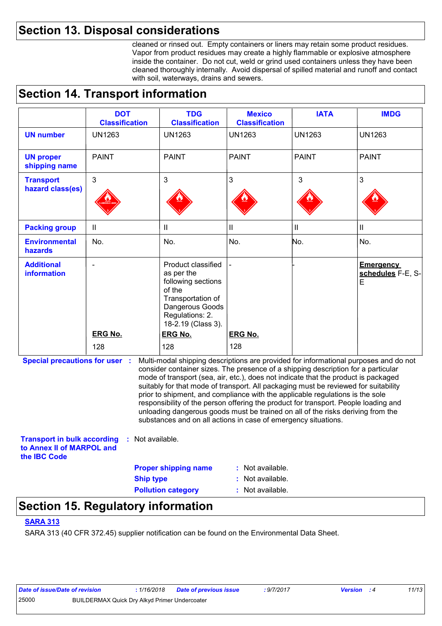### **Section 13. Disposal considerations**

cleaned or rinsed out. Empty containers or liners may retain some product residues. Vapor from product residues may create a highly flammable or explosive atmosphere inside the container. Do not cut, weld or grind used containers unless they have been cleaned thoroughly internally. Avoid dispersal of spilled material and runoff and contact with soil, waterways, drains and sewers.

### **Section 14. Transport information**

|                                      | <b>DOT</b><br><b>Classification</b> | <b>TDG</b><br><b>Classification</b>                                                                                                               | <b>Mexico</b><br><b>Classification</b> | <b>IATA</b>   | <b>IMDG</b>                                |
|--------------------------------------|-------------------------------------|---------------------------------------------------------------------------------------------------------------------------------------------------|----------------------------------------|---------------|--------------------------------------------|
| <b>UN number</b>                     | <b>UN1263</b>                       | <b>UN1263</b>                                                                                                                                     | <b>UN1263</b>                          | <b>UN1263</b> | <b>UN1263</b>                              |
| <b>UN proper</b><br>shipping name    | <b>PAINT</b>                        | <b>PAINT</b>                                                                                                                                      | <b>PAINT</b>                           | <b>PAINT</b>  | <b>PAINT</b>                               |
| <b>Transport</b><br>hazard class(es) | 3                                   | 3                                                                                                                                                 | 3                                      | 3             | 3                                          |
| <b>Packing group</b>                 | $\mathbf{H}$                        | $\mathbf{II}$                                                                                                                                     | Ш                                      | $\mathbf{H}$  | Ш                                          |
| <b>Environmental</b><br>hazards      | No.                                 | No.                                                                                                                                               | No.                                    | No.           | No.                                        |
| <b>Additional</b><br>information     |                                     | Product classified<br>as per the<br>following sections<br>of the<br>Transportation of<br>Dangerous Goods<br>Regulations: 2.<br>18-2.19 (Class 3). |                                        |               | <b>Emergency</b><br>schedules F-E, S-<br>E |
|                                      | <b>ERG No.</b>                      | <b>ERG No.</b>                                                                                                                                    | <b>ERG No.</b>                         |               |                                            |
|                                      | 128                                 | 128                                                                                                                                               | 128                                    |               |                                            |

**Special precautions for user** : M **:** Multi-modal shipping descriptions are provided for informational purposes and do not consider container sizes. The presence of a shipping description for a particular mode of transport (sea, air, etc.), does not indicate that the product is packaged suitably for that mode of transport. All packaging must be reviewed for suitability prior to shipment, and compliance with the applicable regulations is the sole responsibility of the person offering the product for transport. People loading and unloading dangerous goods must be trained on all of the risks deriving from the substances and on all actions in case of emergency situations.

**Transport in bulk according :** Not available. **to Annex II of MARPOL and the IBC Code**

: Not available. **Proper shipping name : Ship type**  : Not available. **Pollution category :** Not available.

## **Section 15. Regulatory information**

#### **SARA 313**

SARA 313 (40 CFR 372.45) supplier notification can be found on the Environmental Data Sheet.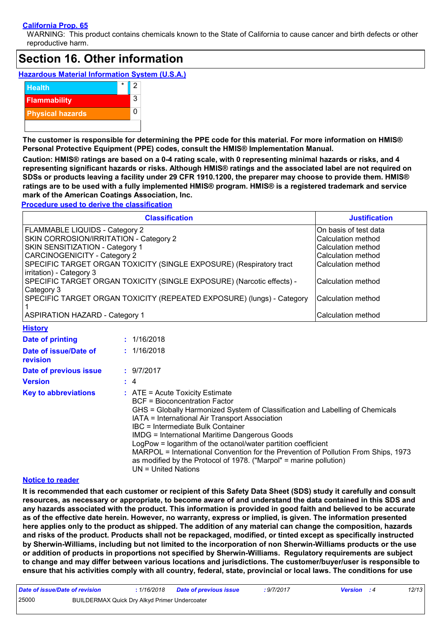#### **California Prop. 65**

WARNING: This product contains chemicals known to the State of California to cause cancer and birth defects or other reproductive harm.

### **Section 16. Other information**

**Hazardous Material Information System (U.S.A.)**



**The customer is responsible for determining the PPE code for this material. For more information on HMIS® Personal Protective Equipment (PPE) codes, consult the HMIS® Implementation Manual.**

**Caution: HMIS® ratings are based on a 0-4 rating scale, with 0 representing minimal hazards or risks, and 4 representing significant hazards or risks. Although HMIS® ratings and the associated label are not required on SDSs or products leaving a facility under 29 CFR 1910.1200, the preparer may choose to provide them. HMIS® ratings are to be used with a fully implemented HMIS® program. HMIS® is a registered trademark and service mark of the American Coatings Association, Inc.**

**Procedure used to derive the classification**

| <b>Classification</b>                                                 | <b>Justification</b>  |
|-----------------------------------------------------------------------|-----------------------|
| FLAMMABLE LIQUIDS - Category 2                                        | On basis of test data |
| SKIN CORROSION/IRRITATION - Category 2                                | Calculation method    |
| <b>SKIN SENSITIZATION - Category 1</b>                                | Calculation method    |
| CARCINOGENICITY - Category 2                                          | lCalculation method   |
| SPECIFIC TARGET ORGAN TOXICITY (SINGLE EXPOSURE) (Respiratory tract   | ICalculation method   |
| irritation) - Category 3                                              |                       |
| SPECIFIC TARGET ORGAN TOXICITY (SINGLE EXPOSURE) (Narcotic effects) - | Calculation method    |
| Category 3                                                            |                       |
| SPECIFIC TARGET ORGAN TOXICITY (REPEATED EXPOSURE) (lungs) - Category | Calculation method    |
|                                                                       |                       |
| <b>ASPIRATION HAZARD - Category 1</b>                                 | lCalculation method   |

#### **History**

| Date of printing                  | : 1/16/2018                                                                                                                                                                                                                                                                                                                                                                                                                                                                                                                                                       |
|-----------------------------------|-------------------------------------------------------------------------------------------------------------------------------------------------------------------------------------------------------------------------------------------------------------------------------------------------------------------------------------------------------------------------------------------------------------------------------------------------------------------------------------------------------------------------------------------------------------------|
| Date of issue/Date of<br>revision | : 1/16/2018                                                                                                                                                                                                                                                                                                                                                                                                                                                                                                                                                       |
| Date of previous issue            | : 9/7/2017                                                                                                                                                                                                                                                                                                                                                                                                                                                                                                                                                        |
| <b>Version</b>                    | : 4                                                                                                                                                                                                                                                                                                                                                                                                                                                                                                                                                               |
| <b>Key to abbreviations</b>       | $\therefore$ ATE = Acute Toxicity Estimate<br>BCF = Bioconcentration Factor<br>GHS = Globally Harmonized System of Classification and Labelling of Chemicals<br>IATA = International Air Transport Association<br>IBC = Intermediate Bulk Container<br><b>IMDG = International Maritime Dangerous Goods</b><br>LogPow = logarithm of the octanol/water partition coefficient<br>MARPOL = International Convention for the Prevention of Pollution From Ships, 1973<br>as modified by the Protocol of 1978. ("Marpol" = marine pollution)<br>$UN = United Nations$ |

#### **Notice to reader**

**It is recommended that each customer or recipient of this Safety Data Sheet (SDS) study it carefully and consult resources, as necessary or appropriate, to become aware of and understand the data contained in this SDS and any hazards associated with the product. This information is provided in good faith and believed to be accurate as of the effective date herein. However, no warranty, express or implied, is given. The information presented here applies only to the product as shipped. The addition of any material can change the composition, hazards and risks of the product. Products shall not be repackaged, modified, or tinted except as specifically instructed by Sherwin-Williams, including but not limited to the incorporation of non Sherwin-Williams products or the use or addition of products in proportions not specified by Sherwin-Williams. Regulatory requirements are subject to change and may differ between various locations and jurisdictions. The customer/buyer/user is responsible to ensure that his activities comply with all country, federal, state, provincial or local laws. The conditions for use**